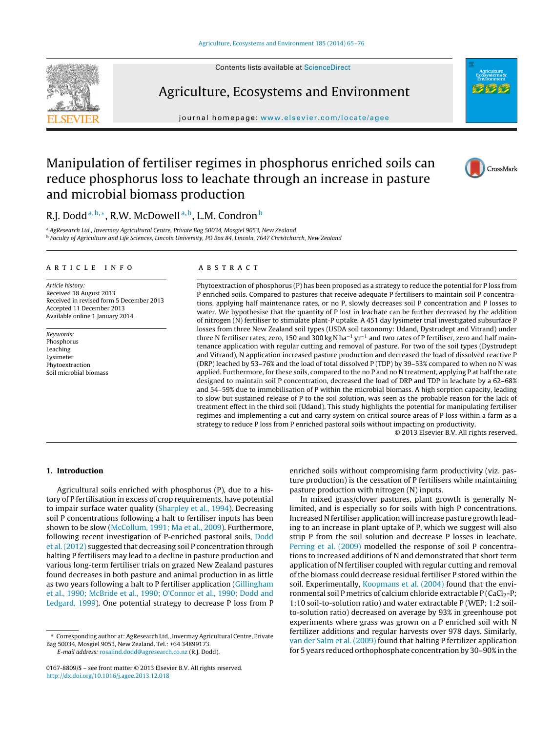Contents lists available at [ScienceDirect](http://www.sciencedirect.com/science/journal/01678809)



## Agriculture, Ecosystems and Environment

journal homepage: [www.elsevier.com/locate/agee](http://www.elsevier.com/locate/agee)



## Manipulation of fertiliser regimes in phosphorus enriched soils can reduce phosphorus loss to leachate through an increase in pasture and microbial biomass production



### R.J. Dodd<sup>a,b,∗</sup>, R.W. McDowell<sup>a,b</sup>, L.M. Condron<sup>b</sup>

a AgResearch Ltd., Invermay Agricultural Centre, Private Bag 50034, Mosgiel 9053, New Zealand <sup>b</sup> Faculty of Agriculture and Life Sciences, Lincoln University, PO Box 84, Lincoln, 7647 Christchurch, New Zealand

#### a r t i c l e i n f o

Article history: Received 18 August 2013 Received in revised form 5 December 2013 Accepted 11 December 2013 Available online 1 January 2014

Keywords: Phosphorus Leaching Lysimeter Phytoextraction Soil microbial biomass

#### A B S T R A C T

Phytoextraction of phosphorus (P) has been proposed as a strategy to reduce the potential for P loss from P enriched soils. Compared to pastures that receive adequate P fertilisers to maintain soil P concentrations, applying half maintenance rates, or no P, slowly decreases soil P concentration and P losses to water. We hypothesise that the quantity of P lost in leachate can be further decreased by the addition of nitrogen (N) fertiliser to stimulate plant-P uptake. A 451 day lysimeter trial investigated subsurface P losses from three New Zealand soil types (USDA soil taxonomy: Udand, Dystrudept and Vitrand) under three N fertiliser rates, zero, 150 and 300 kg N ha−<sup>1</sup> yr−<sup>1</sup> and two rates of P fertiliser, zero and half maintenance application with regular cutting and removal of pasture. For two of the soil types (Dystrudept and Vitrand), N application increased pasture production and decreased the load of dissolved reactive P (DRP) leached by 53–76% and the load of total dissolved P (TDP) by 39–53% compared to when no N was applied. Furthermore, for these soils, compared to the no P and no N treatment, applying P at half the rate designed to maintain soil P concentration, decreased the load of DRP and TDP in leachate by a 62–68% and 54–59% due to immobilisation of P within the microbial biomass. A high sorption capacity, leading to slow but sustained release of P to the soil solution, was seen as the probable reason for the lack of treatment effect in the third soil (Udand). This study highlights the potential for manipulating fertiliser regimes and implementing a cut and carry system on critical source areas of P loss within a farm as a strategy to reduce P loss from P enriched pastoral soils without impacting on productivity.

© 2013 Elsevier B.V. All rights reserved.

#### **1. Introduction**

Agricultural soils enriched with phosphorus (P), due to a history of P fertilisation in excess of crop requirements, have potential to impair surface water quality [\(Sharpley](#page--1-0) et [al.,](#page--1-0) [1994\).](#page--1-0) Decreasing soil P concentrations following a halt to fertiliser inputs has been shown to be slow [\(McCollum,](#page--1-0) [1991;](#page--1-0) [Ma](#page--1-0) et [al.,](#page--1-0) [2009\).](#page--1-0) Furthermore, following recent investigation of P-enriched pastoral soils, [Dodd](#page--1-0) et [al.\(2012\)](#page--1-0) suggested that decreasing soil P concentration through halting P fertilisers may lead to a decline in pasture production and various long-term fertiliser trials on grazed New Zealand pastures found decreases in both pasture and animal production in as little as two years following a halt to P fertiliser application ([Gillingham](#page--1-0) et [al.,](#page--1-0) [1990;](#page--1-0) [McBride](#page--1-0) et [al.,](#page--1-0) [1990;](#page--1-0) [O'Connor](#page--1-0) et [al.,](#page--1-0) [1990;](#page--1-0) [Dodd](#page--1-0) [and](#page--1-0) [Ledgard,](#page--1-0) [1999\).](#page--1-0) One potential strategy to decrease P loss from P

enriched soils without compromising farm productivity (viz. pasture production) is the cessation of P fertilisers while maintaining pasture production with nitrogen (N) inputs.

In mixed grass/clover pastures, plant growth is generally Nlimited, and is especially so for soils with high P concentrations. Increased N fertiliser application will increase pasture growth leading to an increase in plant uptake of P, which we suggest will also strip P from the soil solution and decrease P losses in leachate. [Perring](#page--1-0) et [al.](#page--1-0) [\(2009\)](#page--1-0) modelled the response of soil P concentrations to increased additions of N and demonstrated that short term application of N fertiliser coupled with regular cutting and removal of the biomass could decrease residual fertiliser P stored within the soil. Experimentally, [Koopmans](#page--1-0) et [al.](#page--1-0) [\(2004\)](#page--1-0) found that the environmental soil P metrics of calcium chloride extractable  $P(CaCl<sub>2</sub>-P;$ 1:10 soil-to-solution ratio) and water extractable P (WEP; 1:2 soilto-solution ratio) decreased on average by 93% in greenhouse pot experiments where grass was grown on a P enriched soil with N fertilizer additions and regular harvests over 978 days. Similarly, [van](#page--1-0) [der](#page--1-0) [Salm](#page--1-0) et [al.](#page--1-0) [\(2009\)](#page--1-0) found that halting P fertilizer application for 5 years reduced orthophosphate concentration by 30–90% in the

<sup>∗</sup> Corresponding author at: AgResearch Ltd., Invermay Agricultural Centre, Private Bag 50034, Mosgiel 9053, New Zealand. Tel.: +64 34899173.

E-mail address: [rosalind.dodd@agresearch.co.nz](mailto:rosalind.dodd@agresearch.co.nz) (R.J. Dodd).

<sup>0167-8809/\$</sup> – see front matter © 2013 Elsevier B.V. All rights reserved. [http://dx.doi.org/10.1016/j.agee.2013.12.018](dx.doi.org/10.1016/j.agee.2013.12.018)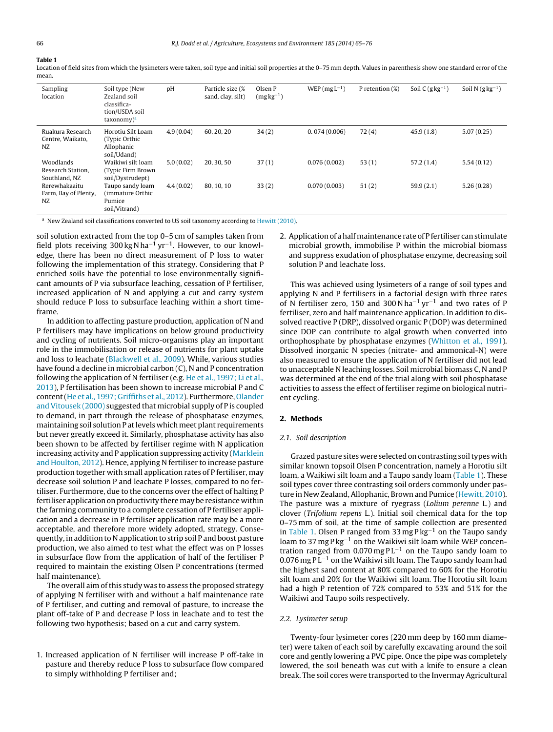#### **Table 1**

Location of field sites from which the lysimeters were taken, soil type and initial soil properties at the 0–75 mm depth. Values in parenthesis show one standard error of the mean.

| Sampling<br>location                            | Soil type (New<br>Zealand soil<br>classifica-<br>tion/USDA soil<br>taxonomy) <sup>a</sup> | pH        | Particle size (%<br>sand, clay, silt) | Olsen P<br>$(mgkg^{-1})$ | WEP ( $mgL^{-1}$ ) | P retention $(\%)$ | Soil C $(g \, kg^{-1})$ | Soil N $(g \, kg^{-1})$ |
|-------------------------------------------------|-------------------------------------------------------------------------------------------|-----------|---------------------------------------|--------------------------|--------------------|--------------------|-------------------------|-------------------------|
| Ruakura Research<br>Centre, Waikato,<br>NZ      | Horotiu Silt Loam<br>(Typic Orthic)<br>Allophanic<br>soil/Udand)                          | 4.9(0.04) | 60, 20, 20                            | 34(2)                    | 0.074(0.006)       | 72(4)              | 45.9(1.8)               | 5.07(0.25)              |
| Woodlands<br>Research Station,<br>Southland, NZ | Waikiwi silt loam<br>(Typic Firm Brown)<br>soil/Dystrudept)                               | 5.0(0.02) | 20, 30, 50                            | 37(1)                    | 0.076(0.002)       | 53(1)              | 57.2(1.4)               | 5.54(0.12)              |
| Rerewhakaaitu<br>Farm, Bay of Plenty,<br>NZ     | Taupo sandy loam<br>(immature Orthic<br>Pumice<br>soil/Vitrand)                           | 4.4(0.02) | 80, 10, 10                            | 33(2)                    | 0.070(0.003)       | 51(2)              | 59.9(2.1)               | 5.26(0.28)              |

<sup>a</sup> New Zealand soil classifications converted to US soil taxonomy according to [Hewitt](#page--1-0) [\(2010\).](#page--1-0)

soil solution extracted from the top 0–5 cm of samples taken from field plots receiving 300 kg N ha<sup>-1</sup> yr<sup>-1</sup>. However, to our knowledge, there has been no direct measurement of P loss to water following the implementation of this strategy. Considering that P enriched soils have the potential to lose environmentally significant amounts of P via subsurface leaching, cessation of P fertiliser, increased application of N and applying a cut and carry system should reduce P loss to subsurface leaching within a short timeframe.

In addition to affecting pasture production, application of N and P fertilisers may have implications on below ground productivity and cycling of nutrients. Soil micro-organisms play an important role in the immobilisation or release of nutrients for plant uptake and loss to leachate ([Blackwell](#page--1-0) et [al.,](#page--1-0) [2009\).](#page--1-0) While, various studies have found a decline in microbial carbon (C), N and P concentration following the application of N fertiliser (e.g. [He](#page--1-0) et [al.,](#page--1-0) [1997;](#page--1-0) [Li](#page--1-0) et al., [2013\),](#page--1-0) P fertilisation has been shown to increase microbial P and C content([He](#page--1-0) et [al.,](#page--1-0) [1997;](#page--1-0) [Griffiths](#page--1-0) et [al.,](#page--1-0) [2012\).](#page--1-0) Furthermore, [Olander](#page--1-0) [and](#page--1-0) [Vitousek](#page--1-0) [\(2000\)](#page--1-0) suggested that microbial supply of P is coupled to demand, in part through the release of phosphatase enzymes, maintaining soil solution P atlevels which meet plant requirements but never greatly exceed it. Similarly, phosphatase activity has also been shown to be affected by fertiliser regime with N application increasing activity and P application suppressing activity [\(Marklein](#page--1-0) [and](#page--1-0) [Houlton,](#page--1-0) [2012\).](#page--1-0) Hence, applying N fertiliser to increase pasture production together with small application rates of P fertiliser, may decrease soil solution P and leachate P losses, compared to no fertiliser. Furthermore, due to the concerns over the effect of halting P fertiliser application on productivity there may be resistance within the farming community to a complete cessation of P fertiliser application and a decrease in P fertiliser application rate may be a more acceptable, and therefore more widely adopted, strategy. Consequently, in addition to N application to strip soil P and boost pasture production, we also aimed to test what the effect was on P losses in subsurface flow from the application of half of the fertiliser P required to maintain the existing Olsen P concentrations (termed half maintenance).

The overall aim of this study was to assess the proposed strategy of applying N fertiliser with and without a half maintenance rate of P fertiliser, and cutting and removal of pasture, to increase the plant off-take of P and decrease P loss in leachate and to test the following two hypothesis; based on a cut and carry system.

1. Increased application of N fertiliser will increase P off-take in pasture and thereby reduce P loss to subsurface flow compared to simply withholding P fertiliser and;

2. Application of a half maintenance rate of P fertiliser can stimulate microbial growth, immobilise P within the microbial biomass and suppress exudation of phosphatase enzyme, decreasing soil solution P and leachate loss.

This was achieved using lysimeters of a range of soil types and applying N and P fertilisers in a factorial design with three rates of N fertiliser zero, 150 and 300 N ha−<sup>1</sup> yr−<sup>1</sup> and two rates of P fertiliser, zero and half maintenance application. In addition to dissolved reactive P (DRP), dissolved organic P (DOP) was determined since DOP can contribute to algal growth when converted into orthophosphate by phosphatase enzymes [\(Whitton](#page--1-0) et [al.,](#page--1-0) [1991\).](#page--1-0) Dissolved inorganic N species (nitrate- and ammonical-N) were also measured to ensure the application of N fertiliser did not lead to unacceptable N leaching losses. Soil microbial biomass C, N and P was determined at the end of the trial along with soil phosphatase activities to assess the effect of fertiliser regime on biological nutrient cycling.

#### **2. Methods**

#### 2.1. Soil description

Grazed pasture sites were selected on contrasting soiltypes with similar known topsoil Olsen P concentration, namely a Horotiu silt loam, a Waikiwi silt loam and a Taupo sandy loam (Table 1). These soil types cover three contrasting soil orders commonly under pasture in New Zealand, Allophanic, Brown and Pumice [\(Hewitt,](#page--1-0) [2010\).](#page--1-0) The pasture was a mixture of ryegrass (Lolium perenne L.) and clover (Trifolium repens L.). Initial soil chemical data for the top 0–75 mm of soil, at the time of sample collection are presented in Table 1. Olsen P ranged from 33 mg P kg−<sup>1</sup> on the Taupo sandy loam to 37 mg P kg<sup>-1</sup> on the Waikiwi silt loam while WEP concentration ranged from 0.070 mg PL<sup>-1</sup> on the Taupo sandy loam to 0.076 mg P L−<sup>1</sup> on the Waikiwi silt loam. The Taupo sandy loam had the highest sand content at 80% compared to 60% for the Horotiu silt loam and 20% for the Waikiwi silt loam. The Horotiu silt loam had a high P retention of 72% compared to 53% and 51% for the Waikiwi and Taupo soils respectively.

#### 2.2. Lysimeter setup

Twenty-four lysimeter cores (220 mm deep by 160 mm diameter) were taken of each soil by carefully excavating around the soil core and gently lowering a PVC pipe. Once the pipe was completely lowered, the soil beneath was cut with a knife to ensure a clean break. The soil cores were transported to the Invermay Agricultural